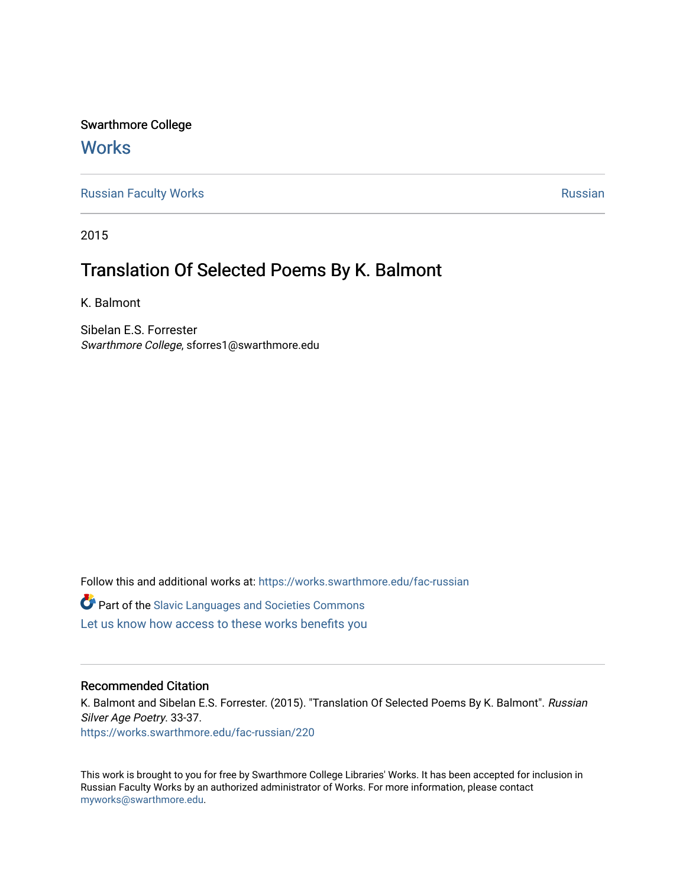Swarthmore College

## **Works**

[Russian Faculty Works](https://works.swarthmore.edu/fac-russian) **Russian** [Russian](https://works.swarthmore.edu/russian) Russian Russian

2015

## Translation Of Selected Poems By K. Balmont

K. Balmont

Sibelan E.S. Forrester Swarthmore College, sforres1@swarthmore.edu

Follow this and additional works at: [https://works.swarthmore.edu/fac-russian](https://works.swarthmore.edu/fac-russian?utm_source=works.swarthmore.edu%2Ffac-russian%2F220&utm_medium=PDF&utm_campaign=PDFCoverPages) 

**C** Part of the Slavic Languages and Societies Commons

[Let us know how access to these works benefits you](https://forms.gle/4MB8mE2GywC5965J8) 

## Recommended Citation

K. Balmont and Sibelan E.S. Forrester. (2015). "Translation Of Selected Poems By K. Balmont". Russian Silver Age Poetry. 33-37. <https://works.swarthmore.edu/fac-russian/220>

This work is brought to you for free by Swarthmore College Libraries' Works. It has been accepted for inclusion in Russian Faculty Works by an authorized administrator of Works. For more information, please contact [myworks@swarthmore.edu.](mailto:myworks@swarthmore.edu)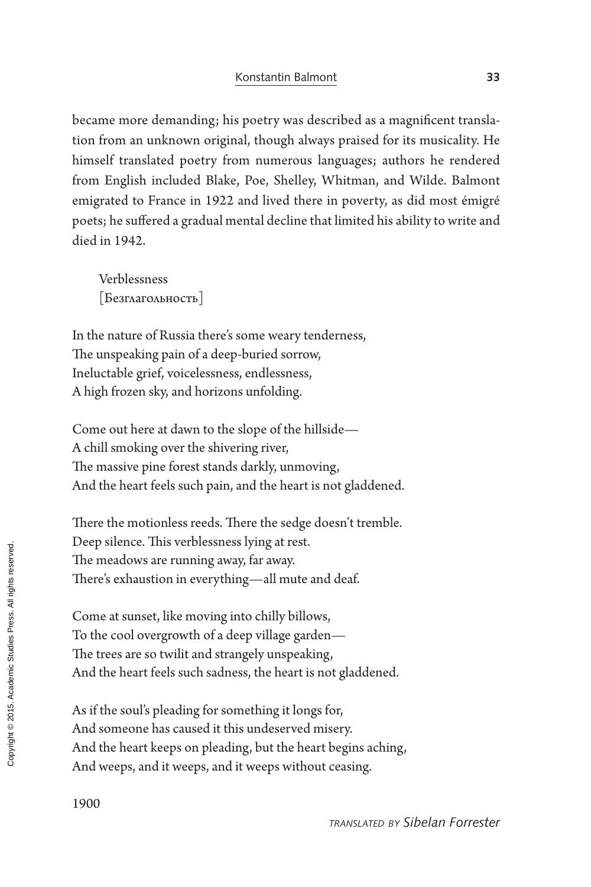became more demanding; his poetry was described as a magnificent translation from an unknown original, though always praised for its musicality. He himself translated poetry from numerous languages; authors he rendered from English included Blake, Poe, Shelley, Whitman, and Wilde. Balmont emigrated to France in 1922 and lived there in poverty, as did most émigré poets; he suffered a gradual mental decline that limited his ability to write and died in 1942.

Verblessness [Безглагольность]

In the nature of Russia there's some weary tenderness, The unspeaking pain of a deep-buried sorrow, Ineluctable grief, voicelessness, endlessness, A high frozen sky, and horizons unfolding.

Come out here at dawn to the slope of the hillside— A chill smoking over the shivering river, The massive pine forest stands darkly, unmoving, And the heart feels such pain, and the heart is not gladdened.

There the motionless reeds. There the sedge doesn't tremble. Deep silence. This verblessness lying at rest. The meadows are running away, far away. There's exhaustion in everything—all mute and deaf.

Come at sunset, like moving into chilly billows, To the cool overgrowth of a deep village garden— The trees are so twilit and strangely unspeaking, And the heart feels such sadness, the heart is not gladdened.

As if the soul's pleading for something it longs for, And someone has caused it this undeserved misery. And the heart keeps on pleading, but the heart begins aching, And weeps, and it weeps, and it weeps without ceasing.

1900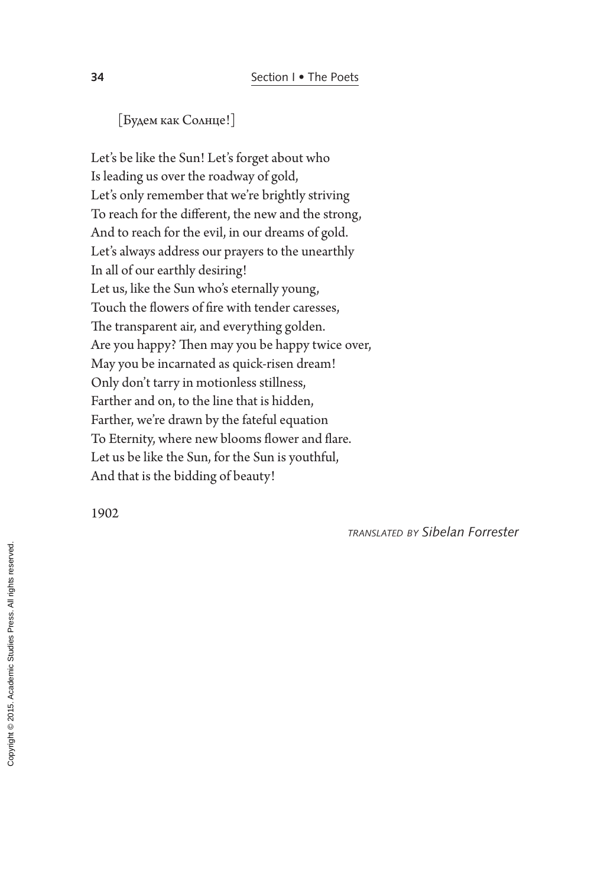[Будем как Солнце!]

Let's be like the Sun! Let's forget about who Is leading us over the roadway of gold, Let's only remember that we're brightly striving To reach for the different, the new and the strong, And to reach for the evil, in our dreams of gold. Let's always address our prayers to the unearthly In all of our earthly desiring! Let us, like the Sun who's eternally young, Touch the flowers of fire with tender caresses, The transparent air, and everything golden. Are you happy? Then may you be happy twice over, May you be incarnated as quick-risen dream! Only don't tarry in motionless stillness, Farther and on, to the line that is hidden, Farther, we're drawn by the fateful equation To Eternity, where new blooms flower and flare. Let us be like the Sun, for the Sun is youthful, And that is the bidding of beauty!

1902

*translated by Sibelan Forrester*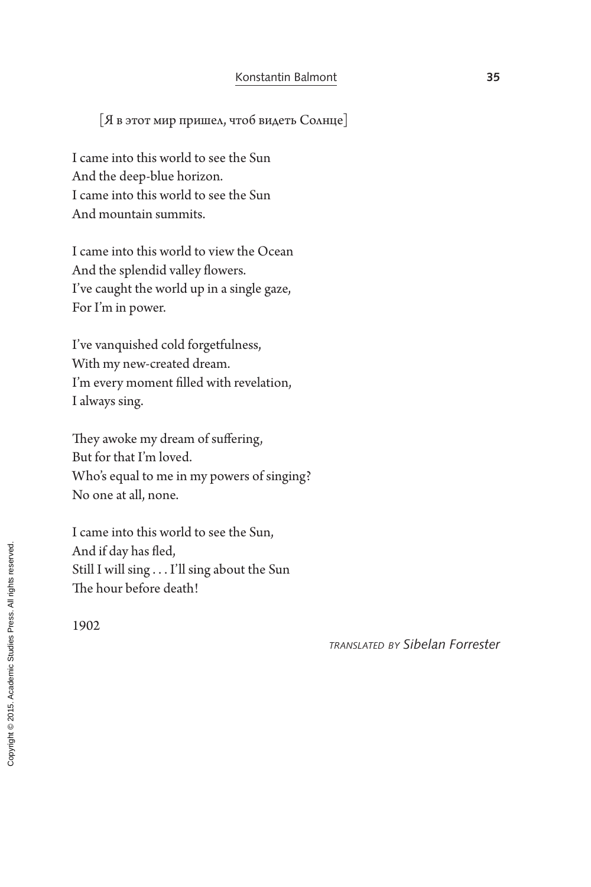[Я в этот мир пришел, чтоб видеть Солнце]

I came into this world to see the Sun And the deep-blue horizon. I came into this world to see the Sun And mountain summits.

I came into this world to view the Ocean And the splendid valley flowers. I've caught the world up in a single gaze, For I'm in power.

I've vanquished cold forgetfulness, With my new-created dream. I'm every moment filled with revelation, I always sing.

They awoke my dream of suffering, But for that I'm loved. Who's equal to me in my powers of singing? No one at all, none.

I came into this world to see the Sun, And if day has fled, Still I will sing . . . I'll sing about the Sun The hour before death!

1902

*translated by Sibelan Forrester*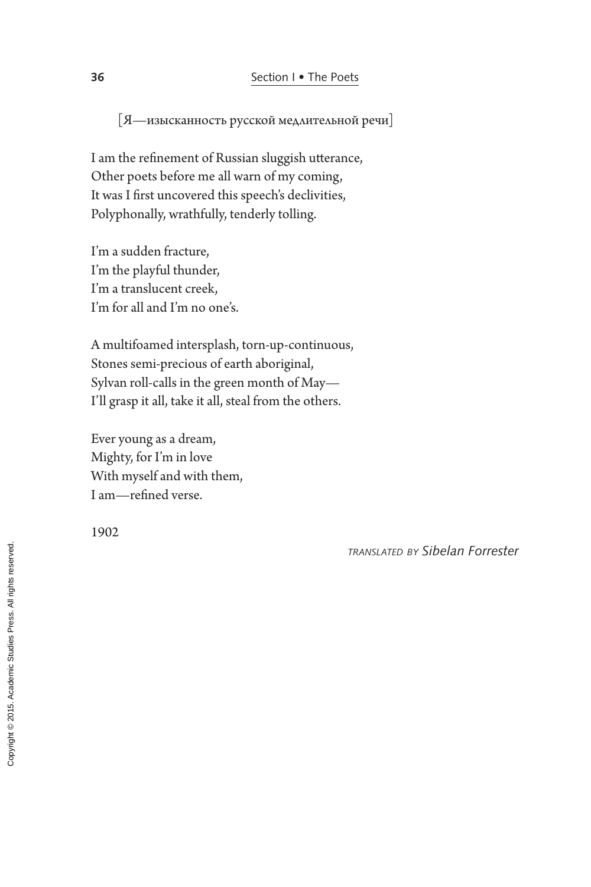[Я—изысканность русской медлительной речи]

I am the refinement of Russian sluggish utterance, Other poets before me all warn of my coming, It was I first uncovered this speech's declivities, Polyphonally, wrathfully, tenderly tolling.

I'm a sudden fracture, I'm the playful thunder, I'm a translucent creek, I'm for all and I'm no one's.

A multifoamed intersplash, torn-up-continuous, Stones semi-precious of earth aboriginal, Sylvan roll-calls in the green month of May— I'll grasp it all, take it all, steal from the others.

Ever young as a dream, Mighty, for I'm in love With myself and with them, I am—refined verse.

1902

*translated by Sibelan Forrester*